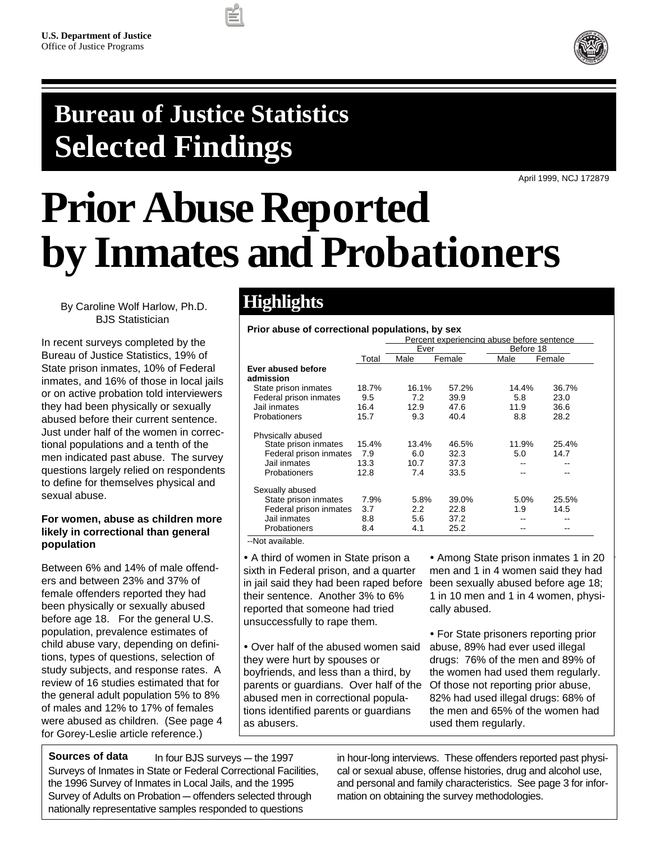

## **Bureau of Justice Statistics Selected Findings**

April 1999, NCJ 172879

# **Prior Abuse Reported by Inmates and Probationers**

By Caroline Wolf Harlow, Ph.D. BJS Statistician

In recent surveys completed by the Bureau of Justice Statistics, 19% of State prison inmates, 10% of Federal inmates, and 16% of those in local jails or on active probation told interviewers they had been physically or sexually abused before their current sentence. Just under half of the women in correctional populations and a tenth of the men indicated past abuse. The survey questions largely relied on respondents to define for themselves physical and sexual abuse.

#### **For women, abuse as children more likely in correctional than general population**

Between 6% and 14% of male offenders and between 23% and 37% of female offenders reported they had been physically or sexually abused before age 18. For the general U.S. population, prevalence estimates of child abuse vary, depending on definitions, types of questions, selection of study subjects, and response rates. A review of 16 studies estimated that for the general adult population 5% to 8% of males and 12% to 17% of females were abused as children. (See page 4 for Gorey-Leslie article reference.)

### **Highlights**

#### **Prior abuse of correctional populations, by sex**

|                                 |       |       |        | Percent experiencing abuse before sentence |        |  |
|---------------------------------|-------|-------|--------|--------------------------------------------|--------|--|
|                                 |       | Ever  |        | Before 18                                  |        |  |
|                                 | Total | Male  | Female | Male                                       | Female |  |
| Ever abused before<br>admission |       |       |        |                                            |        |  |
| State prison inmates            | 18.7% | 16.1% | 57.2%  | 14.4%                                      | 36.7%  |  |
| Federal prison inmates          | 9.5   | 7.2   | 39.9   | 5.8                                        | 23.0   |  |
| Jail inmates                    | 16.4  | 12.9  | 47.6   | 11.9                                       | 36.6   |  |
| Probationers                    | 15.7  | 9.3   | 40.4   | 8.8                                        | 28.2   |  |
| Physically abused               |       |       |        |                                            |        |  |
| State prison inmates            | 15.4% | 13.4% | 46.5%  | 11.9%                                      | 25.4%  |  |
| Federal prison inmates          | 7.9   | 6.0   | 32.3   | 5.0                                        | 14.7   |  |
| Jail inmates                    | 13.3  | 10.7  | 37.3   |                                            |        |  |
| Probationers                    | 12.8  | 7.4   | 33.5   |                                            |        |  |
| Sexually abused                 |       |       |        |                                            |        |  |
| State prison inmates            | 7.9%  | 5.8%  | 39.0%  | 5.0%                                       | 25.5%  |  |
| Federal prison inmates          | 3.7   | 2.2   | 22.8   | 1.9                                        | 14.5   |  |
| Jail inmates                    | 8.8   | 5.6   | 37.2   |                                            |        |  |
| Probationers                    | 8.4   | 4.1   | 25.2   |                                            |        |  |
|                                 |       |       |        |                                            |        |  |

--Not available.

sixth in Federal prison, and a quarter in jail said they had been raped before their sentence. Another 3% to 6% reported that someone had tried unsuccessfully to rape them. • A third of women in State prison a

Tover han of the abased women said<br>they were hurt by spouses or sity is failing opened on the independence of the byparents or guardians. Over half of the Of those not reporting prior abuse, Another 3-6% reported that someone abused men in correctional popula-• Over half of the abused women said tions identified parents or guardians as abusers.

men and 1 in 4 women said they had been sexually abused before age 18; 1 in 10 men and 1 in 4 women, physi-<br>cally abused • Among State prison inmates 1 in 20 cally abused.

• For State prisoners reporting prior State prison had used illegal drugs. abuse, 89% had ever used illegal 76% of the men and 80% of the drugs: 76% of the men and 89% of women used them regularly. the women had used them regularly. 82% had used illegal drugs: 68% of the men and 65% of the women had used them regularly.

In four BJS surveys  $-$  the 1997 Surveys of Inmates in State or Federal Correctional Facilities, the 1996 Survey of Inmates in Local Jails, and the 1995 Survey of Adults on Probation – offenders selected through nationally representative samples responded to questions **Sources of data**

in hour-long interviews. These offenders reported past physical or sexual abuse, offense histories, drug and alcohol use, and personal and family characteristics. See page 3 for information on obtaining the survey methodologies.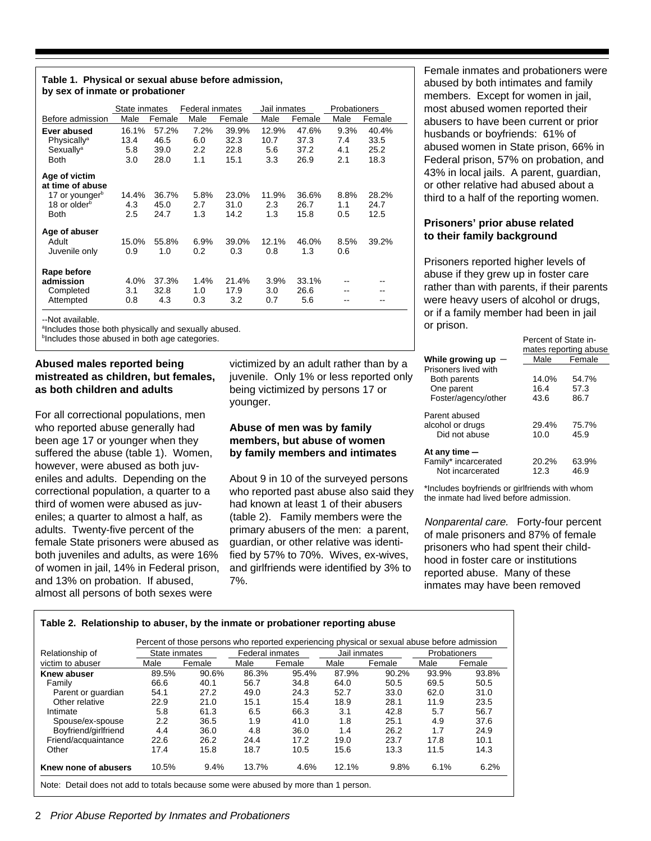#### **Table 1. Physical or sexual abuse before admission, by sex of inmate or probationer**

|                                   | State inmates |        | <b>Federal inmates</b> |        | Jail inmates |        | Probationers |        |
|-----------------------------------|---------------|--------|------------------------|--------|--------------|--------|--------------|--------|
| Before admission                  | Male          | Female | Male                   | Female | Male         | Female | Male         | Female |
| Ever abused                       | 16.1%         | 57.2%  | 7.2%                   | 39.9%  | 12.9%        | 47.6%  | 9.3%         | 40.4%  |
| Physically <sup>a</sup>           | 13.4          | 46.5   | 6.0                    | 32.3   | 10.7         | 37.3   | 7.4          | 33.5   |
| Sexually <sup>a</sup>             | 5.8           | 39.0   | 2.2                    | 22.8   | 5.6          | 37.2   | 4.1          | 25.2   |
| Both                              | 3.0           | 28.0   | 1.1                    | 15.1   | 3.3          | 26.9   | 2.1          | 18.3   |
| Age of victim<br>at time of abuse |               |        |                        |        |              |        |              |        |
| 17 or younger <sup>b</sup>        | 14.4%         | 36.7%  | 5.8%                   | 23.0%  | 11.9%        | 36.6%  | 8.8%         | 28.2%  |
| 18 or older <sup>b</sup>          | 4.3           | 45.0   | 2.7                    | 31.0   | 2.3          | 26.7   | 1.1          | 24.7   |
| <b>Both</b>                       | 2.5           | 24.7   | 1.3                    | 14.2   | 1.3          | 15.8   | 0.5          | 12.5   |
| Age of abuser                     |               |        |                        |        |              |        |              |        |
| Adult                             | 15.0%         | 55.8%  | 6.9%                   | 39.0%  | 12.1%        | 46.0%  | 8.5%         | 39.2%  |
| Juvenile only                     | 0.9           | 1.0    | 0.2                    | 0.3    | 0.8          | 1.3    | 0.6          |        |
| Rape before                       |               |        |                        |        |              |        |              |        |
| admission                         | 4.0%          | 37.3%  | 1.4%                   | 21.4%  | $3.9\%$      | 33.1%  |              |        |
| Completed                         | 3.1           | 32.8   | 1.0                    | 17.9   | 3.0          | 26.6   |              |        |
| Attempted                         | 0.8           | 4.3    | 0.3                    | 3.2    | 0.7          | 5.6    |              |        |

--Not available.

alncludes those both physically and sexually abused.

**b**Includes those abused in both age categories.

#### **Abused males reported being mistreated as children, but females, as both children and adults**

For all correctional populations, men who reported abuse generally had been age 17 or younger when they suffered the abuse (table 1). Women, however, were abused as both juveniles and adults. Depending on the correctional population, a quarter to a third of women were abused as juveniles; a quarter to almost a half, as adults. Twenty-five percent of the female State prisoners were abused as both juveniles and adults, as were 16% of women in jail, 14% in Federal prison, and 13% on probation. If abused, almost all persons of both sexes were

victimized by an adult rather than by a juvenile. Only 1% or less reported only being victimized by persons 17 or younger.

#### **Abuse of men was by family members, but abuse of women by family members and intimates**

About 9 in 10 of the surveyed persons who reported past abuse also said they had known at least 1 of their abusers (table 2). Family members were the primary abusers of the men: a parent, guardian, or other relative was identified by 57% to 70%. Wives, ex-wives, and girlfriends were identified by 3% to 7%.

Female inmates and probationers were abused by both intimates and family members. Except for women in jail, most abused women reported their abusers to have been current or prior husbands or boyfriends: 61% of abused women in State prison, 66% in Federal prison, 57% on probation, and 43% in local jails. A parent, guardian, or other relative had abused about a third to a half of the reporting women.

#### **Prisoners' prior abuse related to their family background**

Prisoners reported higher levels of abuse if they grew up in foster care rather than with parents, if their parents were heavy users of alcohol or drugs, or if a family member had been in jail or prison.

Percent of State in-

|                                                    | mates reporting abuse |               |  |
|----------------------------------------------------|-----------------------|---------------|--|
| While growing up                                   | Male                  | Female        |  |
| Prisoners lived with                               |                       |               |  |
| Both parents                                       | 14.0%                 | 54.7%         |  |
| One parent                                         | 16.4                  | 57.3          |  |
| Foster/agency/other                                | 43.6                  | 86.7          |  |
| Parent abused<br>alcohol or drugs<br>Did not abuse | 29.4%<br>10.0         | 75.7%<br>45.9 |  |
| At any time $-$                                    |                       |               |  |
| Family* incarcerated                               | 20.2%                 | 63.9%         |  |
| Not incarcerated                                   | 12.3                  | 46.9          |  |

\*Includes boyfriends or girlfriends with whom the inmate had lived before admission.

Nonparental care. Forty-four percent of male prisoners and 87% of female prisoners who had spent their childhood in foster care or institutions reported abuse. Many of these inmates may have been removed

|                      |               |        |                                        |        |       | Percent of those persons who reported experiencing physical or sexual abuse before admission |       |        |
|----------------------|---------------|--------|----------------------------------------|--------|-------|----------------------------------------------------------------------------------------------|-------|--------|
| Relationship of      | State inmates |        | <b>Federal inmates</b><br>Jail inmates |        |       | <b>Probationers</b>                                                                          |       |        |
| victim to abuser     | Male          | Female | Male                                   | Female | Male  | Female                                                                                       | Male  | Female |
| Knew abuser          | 89.5%         | 90.6%  | 86.3%                                  | 95.4%  | 87.9% | 90.2%                                                                                        | 93.9% | 93.8%  |
| Family               | 66.6          | 40.1   | 56.7                                   | 34.8   | 64.0  | 50.5                                                                                         | 69.5  | 50.5   |
| Parent or guardian   | 54.1          | 27.2   | 49.0                                   | 24.3   | 52.7  | 33.0                                                                                         | 62.0  | 31.0   |
| Other relative       | 22.9          | 21.0   | 15.1                                   | 15.4   | 18.9  | 28.1                                                                                         | 11.9  | 23.5   |
| Intimate             | 5.8           | 61.3   | 6.5                                    | 66.3   | 3.1   | 42.8                                                                                         | 5.7   | 56.7   |
| Spouse/ex-spouse     | 2.2           | 36.5   | 1.9                                    | 41.0   | 1.8   | 25.1                                                                                         | 4.9   | 37.6   |
| Boyfriend/girlfriend | 4.4           | 36.0   | 4.8                                    | 36.0   | 1.4   | 26.2                                                                                         | 1.7   | 24.9   |
| Friend/acquaintance  | 22.6          | 26.2   | 24.4                                   | 17.2   | 19.0  | 23.7                                                                                         | 17.8  | 10.1   |
| Other                | 17.4          | 15.8   | 18.7                                   | 10.5   | 15.6  | 13.3                                                                                         | 11.5  | 14.3   |
| Knew none of abusers | 10.5%         | 9.4%   | 13.7%                                  | 4.6%   | 12.1% | 9.8%                                                                                         | 6.1%  | 6.2%   |

#### 2 Prior Abuse Reported by Inmates and Probationers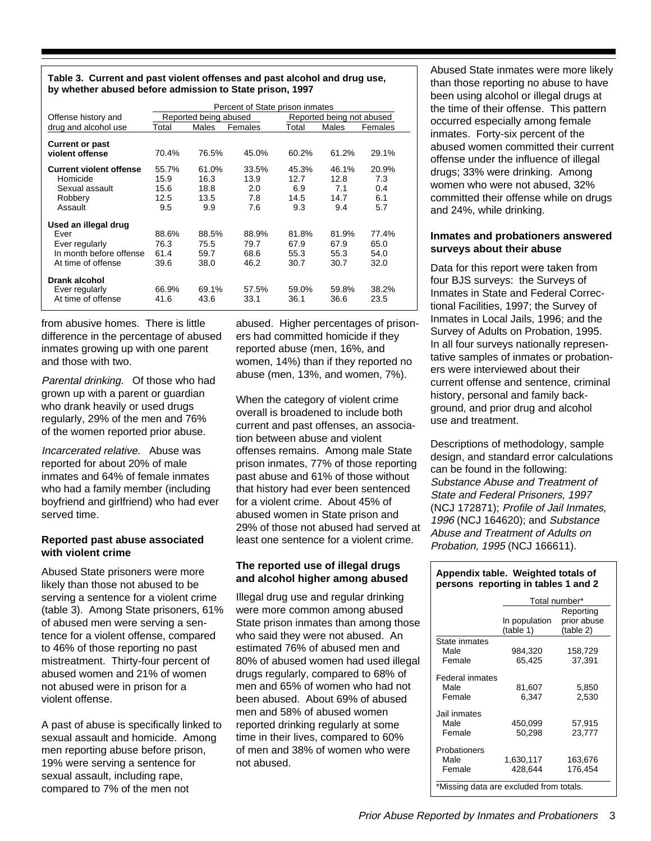**Table 3. Current and past violent offenses and past alcohol and drug use, by whether abused before admission to State prison, 1997**

|                                           | Percent of State prison inmates |                       |         |       |                           |         |
|-------------------------------------------|---------------------------------|-----------------------|---------|-------|---------------------------|---------|
| Offense history and                       |                                 | Reported being abused |         |       | Reported being not abused |         |
| drug and alcohol use                      | Total                           | Males                 | Females | Total | Males                     | Females |
| <b>Current or past</b><br>violent offense | 70.4%                           | 76.5%                 | 45.0%   | 60.2% | 61.2%                     | 29.1%   |
| <b>Current violent offense</b>            | 55.7%                           | 61.0%                 | 33.5%   | 45.3% | 46.1%                     | 20.9%   |
| Homicide                                  | 15.9                            | 16.3                  | 13.9    | 12.7  | 12.8                      | 7.3     |
| Sexual assault                            | 15.6                            | 18.8                  | 2.0     | 6.9   | 7.1                       | 0.4     |
| Robbery                                   | 12.5                            | 13.5                  | 7.8     | 14.5  | 14.7                      | 6.1     |
| Assault                                   | 9.5                             | 9.9                   | 7.6     | 9.3   | 9.4                       | 5.7     |
| Used an illegal drug                      |                                 |                       |         |       |                           |         |
| Ever                                      | 88.6%                           | 88.5%                 | 88.9%   | 81.8% | 81.9%                     | 77.4%   |
| Ever regularly                            | 76.3                            | 75.5                  | 79.7    | 67.9  | 67.9                      | 65.0    |
| In month before offense                   | 61.4                            | 59.7                  | 68.6    | 55.3  | 55.3                      | 54.0    |
| At time of offense                        | 39.6                            | 38.0                  | 46.2    | 30.7  | 30.7                      | 32.0    |
| Drank alcohol<br>Ever regularly           | 66.9%                           | 69.1%                 | 57.5%   | 59.0% | 59.8%                     | 38.2%   |
| At time of offense                        | 41.6                            | 43.6                  | 33.1    | 36.1  | 36.6                      | 23.5    |

from abusive homes. There is little difference in the percentage of abused inmates growing up with one parent and those with two.

Parental drinking.Of those who had grown up with a parent or guardian who drank heavily or used drugs regularly, 29% of the men and 76% of the women reported prior abuse.

Incarcerated relative. Abuse was reported for about 20% of male inmates and 64% of female inmates who had a family member (including boyfriend and girlfriend) who had ever served time.

#### **Reported past abuse associated with violent crime**

Abused State prisoners were more likely than those not abused to be serving a sentence for a violent crime (table 3). Among State prisoners, 61% of abused men were serving a sentence for a violent offense, compared to 46% of those reporting no past mistreatment. Thirty-four percent of abused women and 21% of women not abused were in prison for a violent offense.

A past of abuse is specifically linked to sexual assault and homicide. Among men reporting abuse before prison, 19% were serving a sentence for sexual assault, including rape, compared to 7% of the men not

abused. Higher percentages of prisoners had committed homicide if they reported abuse (men, 16%, and women, 14%) than if they reported no abuse (men, 13%, and women, 7%).

When the category of violent crime overall is broadened to include both current and past offenses, an association between abuse and violent offenses remains. Among male State prison inmates, 77% of those reporting past abuse and 61% of those without that history had ever been sentenced for a violent crime. About 45% of abused women in State prison and 29% of those not abused had served at least one sentence for a violent crime.

#### **The reported use of illegal drugs and alcohol higher among abused**

Illegal drug use and regular drinking were more common among abused State prison inmates than among those who said they were not abused. An estimated 76% of abused men and 80% of abused women had used illegal drugs regularly, compared to 68% of men and 65% of women who had not been abused. About 69% of abused men and 58% of abused women reported drinking regularly at some time in their lives, compared to 60% of men and 38% of women who were not abused.

Abused State inmates were more likely than those reporting no abuse to have been using alcohol or illegal drugs at the time of their offense. This pattern occurred especially among female inmates. Forty-six percent of the abused women committed their current offense under the influence of illegal drugs; 33% were drinking. Among women who were not abused, 32% committed their offense while on drugs and 24%, while drinking.

#### **Inmates and probationers answered surveys about their abuse**

Data for this report were taken from four BJS surveys: the Surveys of Inmates in State and Federal Correctional Facilities, 1997; the Survey of Inmates in Local Jails, 1996; and the Survey of Adults on Probation, 1995. In all four surveys nationally representative samples of inmates or probationers were interviewed about their current offense and sentence, criminal history, personal and family background, and prior drug and alcohol use and treatment.

Descriptions of methodology, sample design, and standard error calculations can be found in the following: Substance Abuse and Treatment of State and Federal Prisoners, 1997 (NCJ 172871); Profile of Jail Inmates, 1996 (NCJ 164620); and Substance Abuse and Treatment of Adults on Probation, 1995 (NCJ 166611).

#### **Appendix table. Weighted totals of persons reporting in tables 1 and 2**

|                                                                          | Total number*                           |                                       |  |  |  |
|--------------------------------------------------------------------------|-----------------------------------------|---------------------------------------|--|--|--|
|                                                                          | In population<br>(table 1)              | Reporting<br>prior abuse<br>(table 2) |  |  |  |
| State inmates<br>Male<br>Female                                          | 984,320<br>65,425                       | 158,729<br>37,391                     |  |  |  |
| Federal inmates<br>Male<br>Female                                        | 81,607<br>6.347                         | 5,850<br>2,530                        |  |  |  |
| Jail inmates<br>Male<br>Female                                           | 450,099<br>50.298                       | 57.915<br>23.777                      |  |  |  |
| Probationers<br>Male<br>Female<br>$+0.01$<br>$\mathbf{I} = \mathbf{I}$ . | 1,630,117<br>428.644<br>وستكلف والمستطا | 163,676<br>176.454<br>$1 - 1 - 1 -$   |  |  |  |

Missing data are excluded from totals.